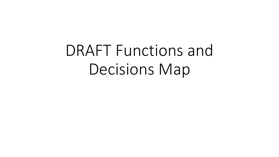# DRAFT Functions and Decisions Map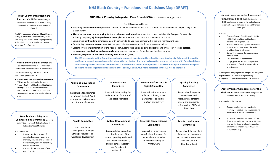### **NHS Black Country – Functions and Decisions Map (DRAFT)**

#### **[Black County Integrated Care](#page-14-0)**

**Partnership (ICP)** is a statutory joint committee between the ICB and Dudley, Sandwell, Walsall and Wolverhampton Councils.

The ICP prepares an **Integrated Care Strategy** setting out how the assessed health, social care and public health needs of people living in the Black Country are to be met by the Integrated Care System.

#### **Health and Wellbeing Boards** are

statutory committees of the four Local Authorities, with statutory ICB membership.

The Boards discharge the ICB and Local Authorities' joint duties to:

- Prepare **Joint Strategic Needs Assessments** (JSNAs) for the Local Authority areas.
- Prepare **Joint Local Health and Wellbeing Strategies** that set out how the Local Authority, ICB and NHS England will meet the assessed needs in the Local Authority areas.

#### **West Midlands Integrated [Commissioning Committee](#page-2-0)** is a joint committee between NHS England and the ICBs in the West Midlands.

The Committee:

- Arranges for the provision of specialised services – acute and pharmacy services, and specialised mental health, learning disabilities, and autism services.
- *Arranges for the provision of 111 and 999 services*

#### **NHS Black Country Integrated Care Board (ICB)** is a statutory NHS organisation.

#### The ICB is responsible for:

- Preparing a **five-year forward plan** with partner NHS Trusts and Foundation Trusts to meet the health needs of people living in the Black Country.
- **Allocating resources and arranging for the provision of health services** across the system to deliver the five-year forward plan including preparing a **joint capital resource use plan** with partner NHS Trusts and NHS Foundation Trusts.
- Establishing **joint working arrangements** with partners to deliver the priorities within the five-year forward plan.
- Establishing **governance arrangements**to support collective accountability for whole-system delivery.
- Leading system implementation of the **People Plan,** system-wide action on **data and digital** and drives joint work on **estates, procurement, supply chain and commercial strategies** as key enablers for delivery of the five-year plan.
- **Plans for, responds to, and leads recovery from incidents**(EPRR).

**The ICB has established the Committees below to support it in delivering these functions and developed a Scheme of Reservation [and Delegation which provides detailed information on the functions and decisions that are reserved to the ICB's Board and those](#page-3-0)  that are delegated to the Board's committees, sub-committees and to ICB employees. It also sets out any ICB functions delegated to other bodies or to joint committees with other bodies, and how functions delegated to the ICB will be exercised.**

| <b>Audit and Governance</b>                                                                                    | Remuneration                                                                     | Finance, Performance &                                                                                       | <b>Quality &amp; Safety</b>                                                                                                                   |
|----------------------------------------------------------------------------------------------------------------|----------------------------------------------------------------------------------|--------------------------------------------------------------------------------------------------------------|-----------------------------------------------------------------------------------------------------------------------------------------------|
| Committee                                                                                                      | <b>Committee</b>                                                                 | <b>Digital Committee</b>                                                                                     | <b>Committee</b>                                                                                                                              |
| Responsible for Assurance<br>on Internal Control, Audit<br>arrangements, Governance<br>and Statutory functions | Responsible for setting Pay<br>and Conditions for ICB Staff<br>and Board Members | Responsible for assurance<br>on financial duties, system<br>performance and digital<br>strategy and delivery | Responsible for quality<br>surveillance and<br>improvement across the<br>system and oversight of<br>safeguarding, CHC and<br><b>Medicines</b> |
|                                                                                                                |                                                                                  |                                                                                                              |                                                                                                                                               |
| <b>People Committee</b>                                                                                        | <b>System Development</b>                                                        | <b>Strategic Commissioning</b>                                                                               | <b>Mental Health Joint</b>                                                                                                                    |
|                                                                                                                | <b>Committee</b>                                                                 | <b>Committee</b>                                                                                             | Committee                                                                                                                                     |

The Black Country area has four **Place-based Partnerships (PBPs)** that bring together the NHS, local councils, community and voluntary organisations, and citizens in each of the four Boroughs.

The PBPs:

- Develop Primary Care Networks (PCNs) within their localities and implement national PCN requirements.
- Provide operational support for General Practice and interface with the wider neighbourhood-level teams.
- Deliver local service development and improvement.
- Deliver medicines optimisation.
- Design, plan and implement specified programmes of work in line with local priority areas.

[Running costs and programme budgets are delegated](#page-13-0)  as part of the ICB's annual budget setting gements to enable delivery of ICB functions.

#### **[Acute Provider Collaborative for the](#page-12-0)**

**ck Country** is a collaborative comprised of providers across the Black Country.

rovider Collaborative:

- Enables accelerates post-pandemic recovery of elective services, addressing inequalities in access and outcomes.
- Maximises the collective impact of the three organisations as anchor institutions (e.g. purchasing more locally, reducing environment impact, supporting local recruitment, etc).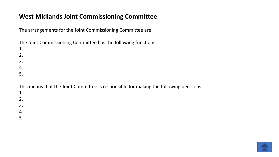## <span id="page-2-0"></span>**West Midlands Joint Commissioning Committee**

The arrangements for the Joint Commissioning Committee are:

The Joint Commissioning Committee has the following functions:

2. 3. 4.

1.

5.

This means that the Joint Committee is responsible for making the following decisions:

1. 2. 3.

4.

5

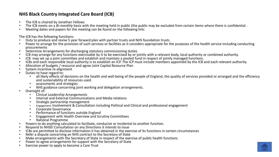### <span id="page-3-0"></span>**NHS Black Country Integrated Care Board (ICB)**

- 
- The ICB is chaired by Jonathan Fellows<br>• The ICB meets on a *Bi-monthly* basis with the meeting held in public (the public may be excluded from certain items where there is confidential.<br>• Meeting dates and papers for th
- 

- 
- The ICB has the following functions:<br>• Duty to produce and revise 5 year forward plan with partner trusts and NHS foundation trusts<br>• Power to arrange for the provision of such services or facilities as it considers approp
- 
- 
- 
- 
- 
- 
- 
- Determine Arrangements for discharging statutory commissioning duties<br>
ICB may arrange for any functions exercisable by it to be exercised by or jointly with a relevant body, local authority or combined authority.<br>
ICB may
	-
	-
- -
	-
	-
- assessments and strategies<br>
 NHS guidance concerning joint working and delegation arrangements.<br>
 Clinical Leadership Arrangements<br>
 Internal and External Communications and Media relations<br>
 Strategic partnership ma
	-
	-
	-
	-
- 
- 
- Engagement, Involvement & Consultation including Political and Clinical and professional engagement<br>• Corporate Governance<br>• Performance of functions outside England<br>• Engagement with Health Overview and Scrutiny Committ
- 
- 
- 
- 

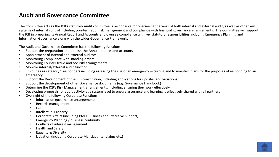### <span id="page-4-0"></span>**Audit and Governance Committee**

The Committee acts as the ICB's statutory Audit committee is responsible for overseeing the work of both internal and external audit, as well as other key systems of internal control including counter fraud, risk management and compliance with financial governance arrangements. The Committee will support the ICB in preparing its Annual Report and Accounts and oversee compliance with key statutory responsibilities including Emergency Planning and Information Governance along with the wider Governance Framework.

The Audit and Governance Committee has the following functions:

- Support the preparation and publish the Annual reports and accounts
- Appointment of internal and external auditors
- Monitoring Compliance with standing orders
- Monitoring Counter fraud and security arrangements
- Monitor internal/external audit function
- ICB duties as category 1 responders including assessing the risk of an emergency occurring and to maintain plans for the purposes of responding to an emergency
- Support the Development of the ICB constitution, including applications for updates and variations.
- Support the development of other Governance documents (e.g. Governance Handbook)
- Determine the ICB's Risk Management arrangements, including ensuring they work effectively
- Developing proposals for audit activity at a system level to ensure assurance and learning is effectively shared with all partners
- Oversight of the following Corporate Functions:-
	- Information governance arrangements
	- Records management
	- FOI
	- Intellectual Property
	- Corporate Affairs (including PMO, Business and Executive Support)
	- Emergency Planning / business continuity
	- Conflicts of interest management
	- Health and Safety
	- Equality & Diversity
	- Litigation (including Corporate Manslaughter claims etc.)

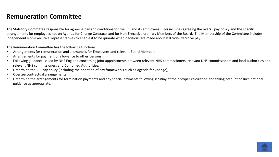### <span id="page-5-0"></span>**Remuneration Committee**

The Statutory Committee responsible for agreeing pay and conditions for the ICB and its employees. This includes agreeing the overall pay policy and the specific arrangements for employees not on Agenda for Change Contracts and for Non-Executive ordinary Members of the Board. The Membership of the Committee includes independent Non-Executive Representatives to enable it to be quorate when decisions are made about ICB Non-Executive pay.

The Remuneration Committee has the following functions:

- Arrangements for remuneration and allowances for Employees and relevant Board Members
- Arrangements for payment of allowance to other persons
- Following guidance issued by NHS England concerning joint appointments between relevant NHS commissioners, relevant NHS commissioners and local authorities and relevant NHS commissioners and Combined Authorities.
- Determine the ICB pay policy (including the adoption of pay frameworks such as Agenda for Change);
- Oversee contractual arrangements;
- Determine the arrangements for termination payments and any special payments following scrutiny of their proper calculation and taking account of such national guidance as appropriate.

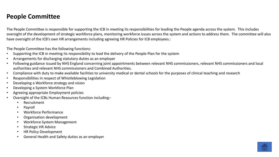### <span id="page-6-0"></span>**People Committee**

The People Committee is responsible for supporting the ICB in meeting its responsibilities for leading the People agenda across the system. This includes oversight of the development of strategic workforce plans, monitoring workforce issues across the system and actions to address them. The committee will also have oversight of the ICB's own HR arrangements including agreeing HR Policies for ICB employees.:

The People Committee has the following functions:

- Supporting the ICB in meeting its responsibility to lead the delivery of the People Plan for the system
- Arrangements for discharging statutory duties as an employer
- Following guidance issued by NHS England concerning joint appointments between relevant NHS commissioners, relevant NHS commissioners and local authorities and relevant NHS commissioners and Combined Authorities.
- Compliance with duty to make available facilities to university medical or dental schools for the purposes of clinical teaching and research
- Responsibilities in respect of Whistleblowing Legislation
- Developing a Workforce strategy and vision
- Developing a System Workforce Plan
- Agreeing appropriate Employment policies
- Oversight of the ICBs Human Resources function including:-
	- Recruitment
	- Payroll
	- Workforce Performance
	- Organisation development
	- Workforce System Management
	- Strategic HR Advice
	- HR Policy Development
	- General Health and Safety duties as an employer

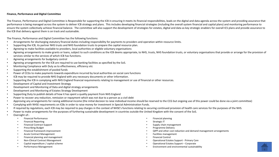#### <span id="page-7-0"></span>**Finance, Performance and Digital Committee**

The Finance, Performance and Digital Committee is Responsible for supporting the ICB in ensuring it meets its financial responsibilities, leads on the digital and data agenda across the system and providing assurance that performance is being managed across the system to deliver ICB strategy and plans. This includes developing financial strategies (including the overall system financial and capital plans) and monitoring performance to ensure the system collectively achieve financial balance. The committee will also support the development of strategies for estates, digital and data as key strategic enablers for overall ICS plans and provide assurance to the ICB that delivery against them is on track and sustainable.

The Finance, Performance and Digital Committee has the following functions:

- Arrangements for discharging statutory financial duties including responsibility for payments to providers and operation within resource limits.
- Supporting the ICB, its partner NHS trusts and NHS foundation trusts to prepare the capital resource plan.
- Agreeing to make facilities available to providers, local authorities or eligible voluntary organisations
- Agreeing arrangements to make grants or loans, subject to such conditions as the ICB deems appropriate, to NHS, trusts, NHS foundation trusts, or voluntary organisations that provide or arrange for the provision of services similar to the services of which ICB has functions.
- Agreeing arrangements for budgetary control
- Agreeing arrangements for the ICB are required to use banking facilities as specified by the SoS.
- Monitoring Compliance with Duty as to effectiveness, efficiency etc
- Supporting the establishment of pooled funds
- Power of CCGs to make payments towards expenditure incurred by local authorities on social care functions
- ICB may be required to provide NHS England with any necessary documents or other information.
- Supporting the ICB in complying with NHS England financial requirements relating to management or use of financial or other resources.
- Development of Capital and Investment Strategy
- Development and Monitoring of Data and digital strategy arrangements
- Development and Monitoring of Estates Strategy Development
- Supporting Duty to publish details of how it has spent a quality payment from NHS England
- Power to recover any reduction, remission or repayment which was not due to a person as a civil debt
- Approving any arrangements for raising additional income (the initial decision to raise individual income should be reserved to the CCG but ongoing use of this power could be done via a joint committee)
- Complying with NHSE requirements on ICBs in order to raise money for investment in Special Administration Funds.
- If required by regulations, each ICB may be required to pay charges in the context of NHSE's functions relating to securing continued provision of health care services for the purposes of the NHS.
- Power to make arrangements for the purposes of furthering sustainable development in countries outside the United Kingdom with the consent of the SoS.
- Oversight of:-
	- Financial Performance
	- Financial Reporting
	- Financial Contract Support
	- Prescribing Budget
	- Financial framework improvement
	- Acute Contract Management
	- Financial planning and management
	- Non-Clinical Contract Management
	- Capital expenditure / capital scheme
	- Performance Management
- Financial planning
- Strategic IT
- Supply chain management
- Programme Delivery
- QIPP and other cost reduction and demand management arrangements
- Facilities management
- Financial Control
- Operational Estates Support Primary Care
- Operational Estates Support Corporate
- Environment and environmental sustainability

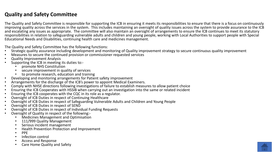### <span id="page-8-0"></span>**Quality and Safety Committee**

The Quality and Safety Committee is responsible for supporting the ICB in ensuring it meets its responsibilities to ensure that there is a focus on continuously improving quality across the services in the system. This includes maintaining an oversight of quality issues across the system to provide assurance to the ICB and escalating any issues as appropriate. The committee will also maintain an oversight of arrangements to ensure the ICB continues to meet its statutory responsibilities in relation to safeguarding vulnerable adults and children and young people, working with Local Authorities to support people with Special Educational Needs and Disabilities, continuing health care and medicines management.

- The Quality and Safety Committee has the following functions:<br>• Strategic quality assurance including development and monitoring of Quality improvement strategy to secure continuous quality improvement Strategic quality assurance including development and monitoring of Quality improvement strategy to secure continuous quality improvement<br>
• Neasures to secure the continued provision or commissioner requested services<br>
•
- 
- 
- -
	-
	-
- 
- 
- 
- 
- 
- 
- 
- 
- 
- -
	-
	-
	-
	-
	-
	-
	-

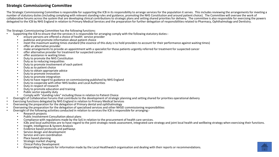### **Strategic Commissioning Committee**

The Strategic Commissioning Committee is responsible for supporting the ICB in its responsibility to arrange services for the population it serves. This includes reviewing the arrangements for meeting a number of statutory duties (including complying with relevant standing rules and guidance, promoting the NHS Constitution and around patient choice). The Committee will oversee the work of collaborative forums across the system that are developing clinical contributions to strategic plans and setting shared priorities for delivery. The committee is also responsible for exercising the powers delegated to the ICB by NHS England in relation to Primary Medical Services and the preparation for further delegation of responsibilities related to Pharmacy, Ophthalmology and Dentistry.

- The Strategic Commissioning Committee has the following functions:<br>• Supporting the ICB to ensure that the services it is responsible for arranging comply with the following statutory duties:-
	-
	-
	-
	-
	-
	-
	-
	-
	-
	-
	-
	-
	-
	-
	-
	-
	-
	-
	-
	-
- 
- 
- 
- 
- -
	-
	-
- supportive the incore wind the verices its incompanie to a respect to the process of the control of the control of the state of the state of the control of the state of the particle incore of the control of the particle in
	-
	-
	-
	-
	-
	-
	-
	-

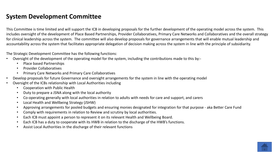### <span id="page-10-0"></span>**System Development Committee**

This Committee is time limited and will support the ICB in developing proposals for the further development of the operating model across the system. This includes oversight of the development of Place Based Partnerships, Provider Collaboratives, Primary Care Networks and Collaboratives and the overall strategy for clinical leadership across the system. The committee will also develop proposals for governance arrangements that will enable mutual leadership and accountability across the system that facilitates appropriate delegation of decision making across the system in line with the principle of subsidiarity.

The Strategic Development Committee has the following functions:

- Oversight of the development of the operating model for the system, including the contributions made to this by:-
	- Place based Partnerships
	- Provider Collaboratives
	- Primary Care Networks and Primary Care Collaboratives
- Develop proposals for future Governance and oversight arrangements for the system in line with the operating model
- Oversight of the ICBs relationship with Local Authorities including
	- Cooperation with Public Health
	- Duty to prepare a JSNA along with the local authority
	- Co-operating generally with local authorities in relation to adults with needs for care and support, and carers
	- Local Health and Wellbeing Strategy (JSHW)
	- Approving arrangements for pooled budgets and ensuring monies designated for integration for that purpose aka Better Care Fund
	- Comply with requirements in relation to Review and scrutiny by local authorities.
	- Each ICB must appoint a person to represent it on its relevant Health and Wellbeing Board.
	- Each ICB has a duty to cooperate with its HWB in relation to the discharge of the HWB's functions.
	- Assist Local Authorities in the discharge of their relevant functions

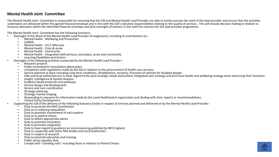### <span id="page-11-0"></span>**Mental Health Joint Committee**

The Mental Health Joint Committee is responsible for ensuring that the ICB and Mental Health Lead Provider are able to jointly oversee the work of the lead provider and ensure that the activities undertaken are delivered within the agreed financial envelope and in line with the ICB's statutory responsibilities relating to the quality of services. This will include decision making in relation to resource allocation within the identified financial envelope and joint oversight of delivery in line with the contract for the lead provider programme.

- The Mental Health Joint Committee has the following functions:<br>• Oversight of the Work of the Mental Health Lead Provider Arrangements, including its contributions to:-
	-
	-
	-
	-
	-
	-
	-
	- -
		-
		-
		-
- Overlapped the World the Meridi Health Lead Provider Arrangements, including its contributions to:-<br>
Metri Health State Community<br>
 Metri Health Schwarz<br>
 Metri Health Schwarz<br>
 Metri Health Schwarz<br>
 Metri Health Comm
	-
	-
	-
	-
	-
	-
	-
	-
- -
	-
	-
	-
	-
	-
	-
	-
	-
	-
	-
	-
	-

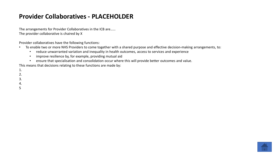### <span id="page-12-0"></span>**Provider Collaboratives - PLACEHOLDER**

The arrangements for Provider Collaboratives in the ICB are…… The provider collaborative is chaired by X

Provider collaboratives have the following functions:

- To enable two or more NHS Providers to come together with a shared purpose and effective decision-making arrangements, to:
	- reduce unwarranted variation and inequality in health outcomes, access to services and experience
	- improve resilience by, for example, providing mutual aid
	- ensure that specialisation and consolidation occur where this will provide better outcomes and value.

This means that decisions relating to these functions are made by:

1.

2.

3.

4.

5

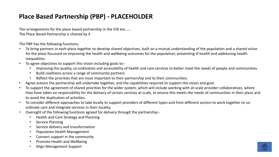# <span id="page-13-0"></span>**Place Based Partnership (PBP) - PLACEHOLDER**

The arrangements for the place based partnership in the ICB are…… The Place Based Partnership is chaired by X

The PBP has the following functions:

- To bring partners in each place together to develop shared objectives, built on a mutual understanding of the population and a shared vision for the place focussed on improving the health and wellbeing outcomes for the population, preventing ill health and addressing health inequalities.
- To agree objectives to support this vision including goals to:-
	- Improving the quality, co-ordination and accessibility of health and care services to better meet the needs of people and communities.
	- Build coalitions across a range of community partners.
	- Reflect the priorities that are most important to their partnership and to their communities.
- Agree actions the partnership will undertake together, and the capabilities required to support the vision and goal.
- To support the agreement of shared priorities for the wider system, which will include working with at-scale provider collaboratives, where they have taken on responsibility for the delivery of certain services at-scale, to ensure this meets the needs of communities in their place and to avoid the duplication of activities.
- To consider different approaches to take locally to support providers of different types and from different sectors to work together to coordinate care and integrate services in their locality.
- Oversight of the following functions agreed for delivery through the partnership:-
	- Health and Care Strategy and Planning
	- **Service Planning**
	- Service delivery and transformation
	- Population Health Management
	- Connect support in the community
	- Promote Health and Wellbeing
	- Align Management Support